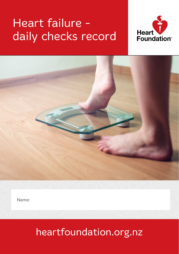### Heart failure daily checks record





Name:

#### heartfoundation.org.nz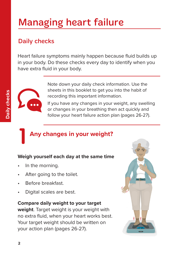#### Managing heart failure

#### Daily checks

Heart failure symptoms mainly happen because fluid builds up in your body. Do these checks every day to identify when you have extra fluid in your body.



1

Note down your daily check information. Use the sheets in this booklet to get you into the habit of recording this important information.

If you have any changes in your weight, any swelling or changes in your breathing then act quickly and follow your heart failure action plan (pages 26-27).

#### **Any changes in your weight?**

#### **Weigh yourself each day at the same time**

- In the morning.
- After going to the toilet.
- Before breakfast.
- Digital scales are best.

your action plan (pages 26-27).

#### **Compare daily weight to your target weight**. Target weight is your weight with no extra fluid, when your heart works best. Your target weight should be written on

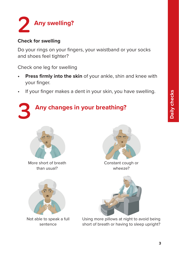

#### **Check for swelling**

Do your rings on your fingers, your waistband or your socks and shoes feel tighter?

Check one leg for swelling

- **• Press firmly into the skin** of your ankle, shin and knee with your finger.
- If your finger makes a dent in your skin, you have swelling.





More short of breath than usual?



Not able to speak a full sentence



Constant cough or wheeze?



Using more pillows at night to avoid being short of breath or having to sleep upright?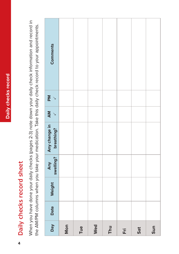# Daily checks record sheet Daily checks record sheet

When you have done your daily checks (pages 2-3) note down your daily check information and record in When you have done your daily checks (pages 2-3) note down your daily check information and record in the AM/PM columns when you take your medication. Take this daily check record to your appointments. the AM/PM columns when you take your medication. Take this daily check record to your appointments.

| <b>Comments</b>                              |     |     |     |     |   |     |     |
|----------------------------------------------|-----|-----|-----|-----|---|-----|-----|
|                                              |     |     |     |     |   |     |     |
| $\sum_{i=1}^{n}$                             |     |     |     |     |   |     |     |
|                                              |     |     |     |     |   |     |     |
| Any Any change in AM<br>swelling? breathing? |     |     |     |     |   |     |     |
|                                              |     |     |     |     |   |     |     |
| Weight                                       |     |     |     |     |   |     |     |
| Date                                         |     |     |     |     |   |     |     |
| $\overline{\phantom{a}}$                     | Mon | Tue | Wed | Thu | Ë | Sat | Sun |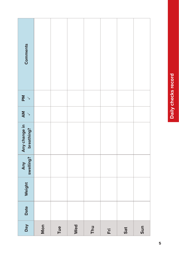| <b>Comments</b>             |     |     |     |     |     |     |
|-----------------------------|-----|-----|-----|-----|-----|-----|
|                             |     |     |     |     |     |     |
| $\sum_{i=1}^{n}$            |     |     |     |     |     |     |
| AM<br>V                     |     |     |     |     |     |     |
| Any change in<br>breathing? |     |     |     |     |     |     |
| Any<br>swelling?            |     |     |     |     |     |     |
| Weight                      |     |     |     |     |     |     |
| Date                        |     |     |     |     |     |     |
| <b>Day</b>                  | Mon | Tue | Wed | Thu | Sat | Sun |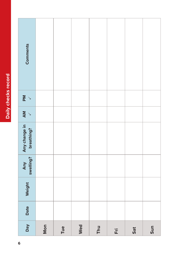| <b>Comments</b>             |     |     |     |     |     |     |     |
|-----------------------------|-----|-----|-----|-----|-----|-----|-----|
| $\sum_{i=1}^{n}$            |     |     |     |     |     |     |     |
| $\sum_{i=1}^{n}$            |     |     |     |     |     |     |     |
| Any change in<br>breathing? |     |     |     |     |     |     |     |
| Any<br>swelling?            |     |     |     |     |     |     |     |
| Weight                      |     |     |     |     |     |     |     |
| Date                        |     |     |     |     |     |     |     |
| Day                         | Mon | Tue | Wed | Thu | Ēři | Sat | Sun |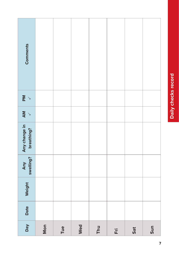| <b>Comments</b>             |     |     |     |     |   |     |     |
|-----------------------------|-----|-----|-----|-----|---|-----|-----|
|                             |     |     |     |     |   |     |     |
| $\sum_{i=1}^{n}$            |     |     |     |     |   |     |     |
| $\frac{M}{\lambda}$         |     |     |     |     |   |     |     |
| Any change in<br>breathing? |     |     |     |     |   |     |     |
| Any<br>swelling?            |     |     |     |     |   |     |     |
| Weight                      |     |     |     |     |   |     |     |
| Date                        |     |     |     |     |   |     |     |
| Day                         | Mon | Tue | Wed | Thu | Ë | Sat | Sun |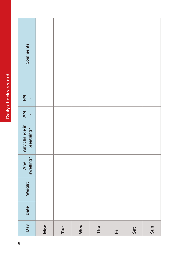| <b>Comments</b>             |     |     |     |     |     |     |     |
|-----------------------------|-----|-----|-----|-----|-----|-----|-----|
| $\sum_{i=1}^{n}$            |     |     |     |     |     |     |     |
| $\sum_{i=1}^{n}$            |     |     |     |     |     |     |     |
| Any change in<br>breathing? |     |     |     |     |     |     |     |
| Any<br>swelling?            |     |     |     |     |     |     |     |
| Weight                      |     |     |     |     |     |     |     |
| Date                        |     |     |     |     |     |     |     |
| Day                         | Mon | Tue | Wed | Thu | Ēři | Sat | Sun |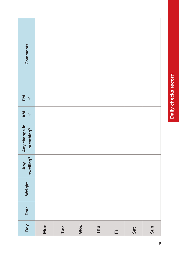| <b>Comments</b>             |     |     |     |     |   |     |     |
|-----------------------------|-----|-----|-----|-----|---|-----|-----|
|                             |     |     |     |     |   |     |     |
| $\sum_{i=1}^{n}$            |     |     |     |     |   |     |     |
| $\frac{M}{\lambda}$         |     |     |     |     |   |     |     |
| Any change in<br>breathing? |     |     |     |     |   |     |     |
| Any<br>swelling?            |     |     |     |     |   |     |     |
| Weight                      |     |     |     |     |   |     |     |
| Date                        |     |     |     |     |   |     |     |
| Day                         | Mon | Tue | Wed | Thu | Ë | Sat | Sun |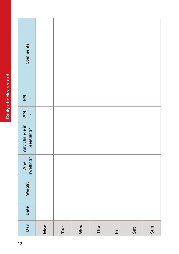| <b>Comments</b>             |     |     |     |     |     |     |     |
|-----------------------------|-----|-----|-----|-----|-----|-----|-----|
| $\sum_{i=1}^{n}$            |     |     |     |     |     |     |     |
| $\sum_{i=1}^{n}$            |     |     |     |     |     |     |     |
| Any change in<br>breathing? |     |     |     |     |     |     |     |
| Any<br>swelling?            |     |     |     |     |     |     |     |
| Weight                      |     |     |     |     |     |     |     |
| Date                        |     |     |     |     |     |     |     |
| Day                         | Mon | Tue | Wed | Thu | Ēři | Sat | Sun |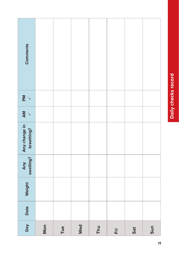| <b>Comments</b>             |  |  |  |  |
|-----------------------------|--|--|--|--|
|                             |  |  |  |  |
| $\sum_{i=1}^{n}$            |  |  |  |  |
| $\frac{MN}{2}$              |  |  |  |  |
| Any change in<br>breathing? |  |  |  |  |
| Any<br>swelling?            |  |  |  |  |
| Weight                      |  |  |  |  |
|                             |  |  |  |  |
| Date                        |  |  |  |  |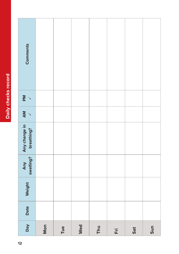| <b>Comments</b>             |     |     |     |     |     |     |     |
|-----------------------------|-----|-----|-----|-----|-----|-----|-----|
| $\sum_{i=1}^{n}$            |     |     |     |     |     |     |     |
| $\sum_{i=1}^{n}$            |     |     |     |     |     |     |     |
| Any change in<br>breathing? |     |     |     |     |     |     |     |
| Any<br>swelling?            |     |     |     |     |     |     |     |
| Weight                      |     |     |     |     |     |     |     |
| Date                        |     |     |     |     |     |     |     |
| Day                         | Mon | Tue | Wed | Thu | Ēři | Sat | Sun |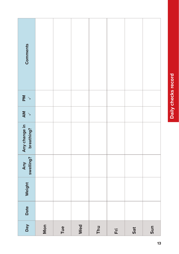| $\overline{M}$<br>AM<br>V   |  |  |  |  |
|-----------------------------|--|--|--|--|
| Any change in<br>breathing? |  |  |  |  |
| Any<br>swelling?            |  |  |  |  |
| Weight                      |  |  |  |  |
|                             |  |  |  |  |
| Date                        |  |  |  |  |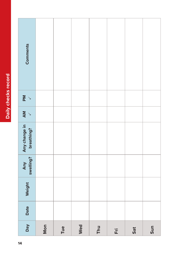| <b>Comments</b>             |     |     |     |     |     |     |     |
|-----------------------------|-----|-----|-----|-----|-----|-----|-----|
| $\sum_{i=1}^{n}$            |     |     |     |     |     |     |     |
| $\sum_{i=1}^{n}$            |     |     |     |     |     |     |     |
| Any change in<br>breathing? |     |     |     |     |     |     |     |
| Any<br>swelling?            |     |     |     |     |     |     |     |
| Weight                      |     |     |     |     |     |     |     |
| Date                        |     |     |     |     |     |     |     |
| Day                         | Mon | Tue | Wed | Thu | Ēři | Sat | Sun |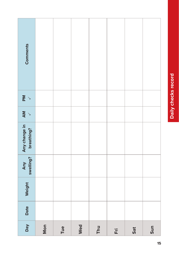| <b>Comments</b>             |  |  |  |  |
|-----------------------------|--|--|--|--|
|                             |  |  |  |  |
| $\sum_{i=1}^{n}$            |  |  |  |  |
| $\sum_{i=1}^{n}$            |  |  |  |  |
| Any change in<br>breathing? |  |  |  |  |
| Any<br>swelling?            |  |  |  |  |
| Weight                      |  |  |  |  |
| Date                        |  |  |  |  |
|                             |  |  |  |  |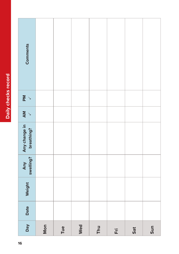| <b>Comments</b>             |     |     |     |     |     |     |     |
|-----------------------------|-----|-----|-----|-----|-----|-----|-----|
| $\sum_{i=1}^{n}$            |     |     |     |     |     |     |     |
| $\sum_{i=1}^{n}$            |     |     |     |     |     |     |     |
| Any change in<br>breathing? |     |     |     |     |     |     |     |
| Any<br>swelling?            |     |     |     |     |     |     |     |
| Weight                      |     |     |     |     |     |     |     |
| Date                        |     |     |     |     |     |     |     |
| Day                         | Mon | Tue | Wed | Thu | Ēři | Sat | Sun |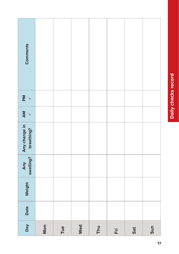| $\overline{M}$<br>AM<br>V   |  |  |  |  |
|-----------------------------|--|--|--|--|
| Any change in<br>breathing? |  |  |  |  |
| Any<br>swelling?            |  |  |  |  |
| Weight                      |  |  |  |  |
|                             |  |  |  |  |
| Date                        |  |  |  |  |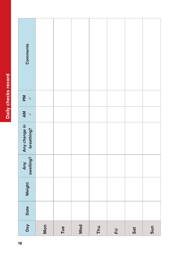| <b>Comments</b>             |     |     |     |     |     |     |     |
|-----------------------------|-----|-----|-----|-----|-----|-----|-----|
| $\sum_{i=1}^{n}$            |     |     |     |     |     |     |     |
| $\sum_{i=1}^{n}$            |     |     |     |     |     |     |     |
| Any change in<br>breathing? |     |     |     |     |     |     |     |
| Any<br>swelling?            |     |     |     |     |     |     |     |
| Weight                      |     |     |     |     |     |     |     |
| Date                        |     |     |     |     |     |     |     |
| Day                         | Mon | Tue | Wed | Thu | Ēři | Sat | Sun |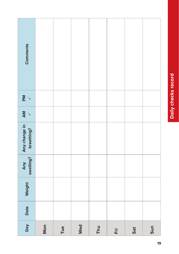| <b>Comments</b>             |  |  |  |  |
|-----------------------------|--|--|--|--|
|                             |  |  |  |  |
| $\sum_{i=1}^{n}$            |  |  |  |  |
| $\sum_{i=1}^{n}$            |  |  |  |  |
| Any change in<br>breathing? |  |  |  |  |
| Any<br>swelling?            |  |  |  |  |
| Weight                      |  |  |  |  |
| Date                        |  |  |  |  |
|                             |  |  |  |  |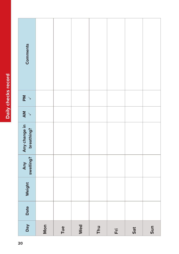| <b>Comments</b>             |     |     |     |     |     |     |     |
|-----------------------------|-----|-----|-----|-----|-----|-----|-----|
| $\sum_{i=1}^{n}$            |     |     |     |     |     |     |     |
| $\sum_{i=1}^{n}$            |     |     |     |     |     |     |     |
| Any change in<br>breathing? |     |     |     |     |     |     |     |
| Any<br>swelling?            |     |     |     |     |     |     |     |
| Weight                      |     |     |     |     |     |     |     |
| Date                        |     |     |     |     |     |     |     |
| Day                         | Mon | Tue | Wed | Thu | Ēři | Sat | Sun |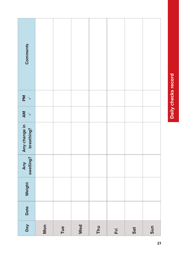| <b>Comments</b>             |  |  |  |  |
|-----------------------------|--|--|--|--|
|                             |  |  |  |  |
| $\sum_{i=1}^{n}$            |  |  |  |  |
| $\sum_{i=1}^{n}$            |  |  |  |  |
| Any change in<br>breathing? |  |  |  |  |
| Any<br>swelling?            |  |  |  |  |
| Weight                      |  |  |  |  |
| Date                        |  |  |  |  |
|                             |  |  |  |  |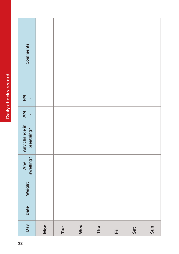| Comments                    |     |     |     |     |     |     |     |
|-----------------------------|-----|-----|-----|-----|-----|-----|-----|
| $\sum_{i=1}^{n}$            |     |     |     |     |     |     |     |
| AM<br>V                     |     |     |     |     |     |     |     |
| Any change in<br>breathing? |     |     |     |     |     |     |     |
| Any<br>swelling?            |     |     |     |     |     |     |     |
| Weight                      |     |     |     |     |     |     |     |
| Date                        |     |     |     |     |     |     |     |
| Day                         | Mon | Tue | Wed | Thu | Ëři | Sat | Sun |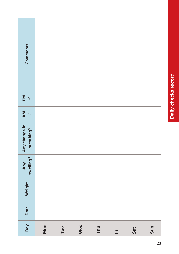| <b>Comments</b>             |  |  |  |  |
|-----------------------------|--|--|--|--|
|                             |  |  |  |  |
| $\sum_{i=1}^{n}$            |  |  |  |  |
| $\sum_{i=1}^{n}$            |  |  |  |  |
| Any change in<br>breathing? |  |  |  |  |
| Any<br>swelling?            |  |  |  |  |
| Weight                      |  |  |  |  |
| Date                        |  |  |  |  |
|                             |  |  |  |  |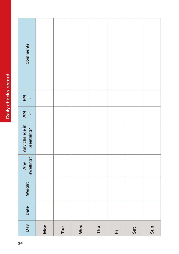| <b>Comments</b>             |     |     |     |     |     |     |     |
|-----------------------------|-----|-----|-----|-----|-----|-----|-----|
| $\sum_{i=1}^{n}$            |     |     |     |     |     |     |     |
| $\sum_{i=1}^{n}$            |     |     |     |     |     |     |     |
| Any change in<br>breathing? |     |     |     |     |     |     |     |
| Any<br>swelling?            |     |     |     |     |     |     |     |
| Weight                      |     |     |     |     |     |     |     |
| Date                        |     |     |     |     |     |     |     |
| Day                         | Mon | Tue | Wed | Thu | Ēři | Sat | Sun |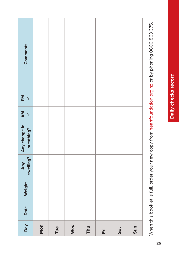| Weight<br>Date<br><b>Day</b> | Mon | Tue | Wed | Thu | Ë | Sat | Sun |
|------------------------------|-----|-----|-----|-----|---|-----|-----|
| Any<br>swelling?             |     |     |     |     |   |     |     |
| Any change in<br>breathing?  |     |     |     |     |   |     |     |
| AM                           |     |     |     |     |   |     |     |
| $\sum_{i=1}^{n}$             |     |     |     |     |   |     |     |
| <b>Comments</b>              |     |     |     |     |   |     |     |

When this booklet is full, order your new copy from heartfoundation.org.nz or by phoning 0800 863 375. When this booklet is full, order your new copy from heartfoundation.org.nz or by phoning 0800 863 375.

**Daily checks record**

Daily checks record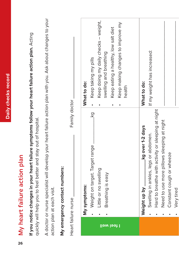# My heart failure action plan My heart failure action plan

If you notice changes in your heart failure symptoms follow your heart failure action plan. Acting **If you notice changes in your heart failure symptoms follow your heart failure action plan.** Acting quickly will help you to feel better and stay out of hospital. quickly will help you to feel better and stay out of hospital.

A doctor or nurse specialist will develop your heart failure action plan with you. Ask about changes to your A doctor or nurse specialist will develop your heart failure action plan with you. Ask about changes to your action plan at each visit. action plan at each visit.

# My emergency contact numbers: **My emergency contact numbers:**

|               | Heart failure nurse                                | Family doctor                        |
|---------------|----------------------------------------------------|--------------------------------------|
|               | My symptoms:                                       | What to do:                          |
|               | Weight on target. Target range                     | Keep taking my pills<br>Σă           |
|               | Little or no swelling                              | Keep doing my daily checks - weight, |
| well          | Breathing is easy                                  | swelling and breathing               |
| <u>ləət l</u> |                                                    | Keep eating a healthy, low salt diet |
|               |                                                    | Keep making changes to improve my    |
|               |                                                    | health                               |
|               |                                                    |                                      |
|               | kg over 1-2 days<br>Weight up by _                 | What to do:                          |
|               | Swelling in ankles, legs or abdomen.               | If my weight has increased:          |
|               | Hard to breathe with activity or sleeping at night |                                      |
|               | Need to use more pillows sleeping at night         |                                      |
|               | Constant cough or wheeze                           |                                      |

•

Very tired

Very tired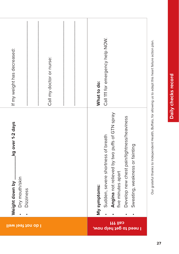| If my weight has decreased:                                              | Call my doctor or nurse: | What to do:  | Call 111 for emergency help NOW.   |                                                                     |                                            |                                |
|--------------------------------------------------------------------------|--------------------------|--------------|------------------------------------|---------------------------------------------------------------------|--------------------------------------------|--------------------------------|
| kg over 1-2 days<br>Dry mouth/skin<br>Weight down by<br><b>Dizziness</b> |                          | My symptoms: | Sudden, severe shortness of breath | Angina not relieved by two puffs of GTN spray<br>five minutes apart | Develop new chest pain/tightness/heaviness | Sweating, weakness or fainting |
| I do not feel well                                                       |                          |              |                                    | <b>Call 111</b><br>l need to get help now,                          |                                            |                                |

Our grateful thanks to Independent Health, Buffalo, for allowing us to adapt this heart failure action plan. Our grateful thanks to Independent Health, Buffalo, for allowing us to adapt this heart failure action plan.